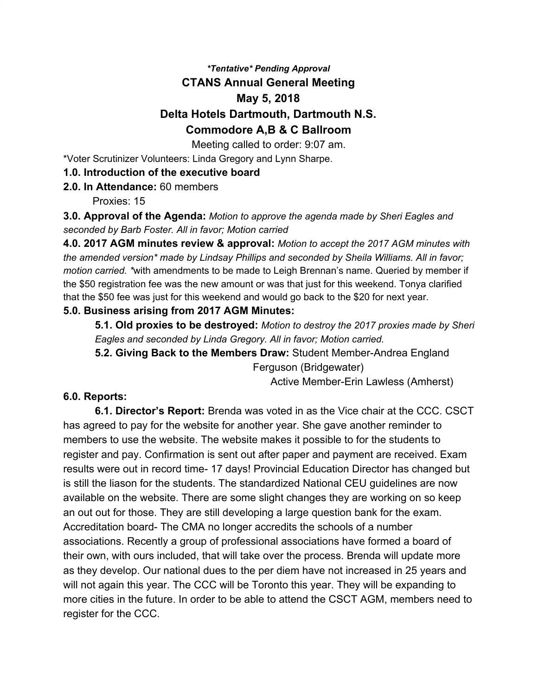# *\*Tentative\* Pending Approval* **CTANS Annual General Meeting May 5, 2018 Delta Hotels Dartmouth, Dartmouth N.S. Commodore A,B & C Ballroom**

Meeting called to order: 9:07 am.

\*Voter Scrutinizer Volunteers: Linda Gregory and Lynn Sharpe.

#### **1.0. Introduction of the executive board**

**2.0. In Attendance:** 60 members

Proxies: 15

**3.0. Approval of the Agenda:** *Motion to approve the agenda made by Sheri Eagles and seconded by Barb Foster. All in favor; Motion carried*

**4.0. 2017 AGM minutes review & approval:** *Motion to accept the 2017 AGM minutes with the amended version\* made by Lindsay Phillips and seconded by Sheila Williams. All in favor; motion carried. \**with amendments to be made to Leigh Brennan's name. Queried by member if the \$50 registration fee was the new amount or was that just for this weekend. Tonya clarified that the \$50 fee was just for this weekend and would go back to the \$20 for next year.

#### **5.0. Business arising from 2017 AGM Minutes:**

**5.1. Old proxies to be destroyed:** *Motion to destroy the 2017 proxies made by Sheri Eagles and seconded by Linda Gregory. All in favor; Motion carried.*

**5.2. Giving Back to the Members Draw:** Student Member-Andrea England Ferguson (Bridgewater)

Active Member-Erin Lawless (Amherst)

#### **6.0. Reports:**

**6.1. Director's Report:** Brenda was voted in as the Vice chair at the CCC. CSCT has agreed to pay for the website for another year. She gave another reminder to members to use the website. The website makes it possible to for the students to register and pay. Confirmation is sent out after paper and payment are received. Exam results were out in record time- 17 days! Provincial Education Director has changed but is still the liason for the students. The standardized National CEU guidelines are now available on the website. There are some slight changes they are working on so keep an out out for those. They are still developing a large question bank for the exam. Accreditation board- The CMA no longer accredits the schools of a number associations. Recently a group of professional associations have formed a board of their own, with ours included, that will take over the process. Brenda will update more as they develop. Our national dues to the per diem have not increased in 25 years and will not again this year. The CCC will be Toronto this year. They will be expanding to more cities in the future. In order to be able to attend the CSCT AGM, members need to register for the CCC.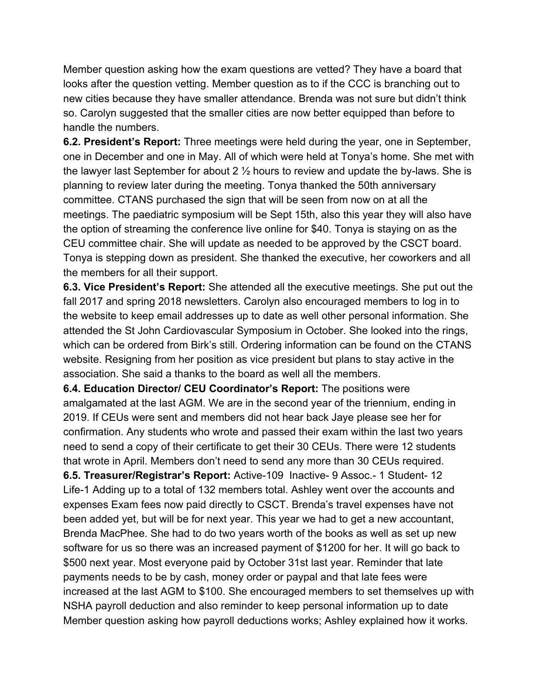Member question asking how the exam questions are vetted? They have a board that looks after the question vetting. Member question as to if the CCC is branching out to new cities because they have smaller attendance. Brenda was not sure but didn't think so. Carolyn suggested that the smaller cities are now better equipped than before to handle the numbers.

**6.2. President's Report:** Three meetings were held during the year, one in September, one in December and one in May. All of which were held at Tonya's home. She met with the lawyer last September for about 2  $\frac{1}{2}$  hours to review and update the by-laws. She is planning to review later during the meeting. Tonya thanked the 50th anniversary committee. CTANS purchased the sign that will be seen from now on at all the meetings. The paediatric symposium will be Sept 15th, also this year they will also have the option of streaming the conference live online for \$40. Tonya is staying on as the CEU committee chair. She will update as needed to be approved by the CSCT board. Tonya is stepping down as president. She thanked the executive, her coworkers and all the members for all their support.

**6.3. Vice President's Report:** She attended all the executive meetings. She put out the fall 2017 and spring 2018 newsletters. Carolyn also encouraged members to log in to the website to keep email addresses up to date as well other personal information. She attended the St John Cardiovascular Symposium in October. She looked into the rings, which can be ordered from Birk's still. Ordering information can be found on the CTANS website. Resigning from her position as vice president but plans to stay active in the association. She said a thanks to the board as well all the members.

**6.4. Education Director/ CEU Coordinator's Report:** The positions were amalgamated at the last AGM. We are in the second year of the triennium, ending in 2019. If CEUs were sent and members did not hear back Jaye please see her for confirmation. Any students who wrote and passed their exam within the last two years need to send a copy of their certificate to get their 30 CEUs. There were 12 students that wrote in April. Members don't need to send any more than 30 CEUs required.

**6.5. Treasurer/Registrar's Report:** Active-109 Inactive- 9 Assoc.- 1 Student- 12 Life-1 Adding up to a total of 132 members total. Ashley went over the accounts and expenses Exam fees now paid directly to CSCT. Brenda's travel expenses have not been added yet, but will be for next year. This year we had to get a new accountant, Brenda MacPhee. She had to do two years worth of the books as well as set up new software for us so there was an increased payment of \$1200 for her. It will go back to \$500 next year. Most everyone paid by October 31st last year. Reminder that late payments needs to be by cash, money order or paypal and that late fees were increased at the last AGM to \$100. She encouraged members to set themselves up with NSHA payroll deduction and also reminder to keep personal information up to date Member question asking how payroll deductions works; Ashley explained how it works.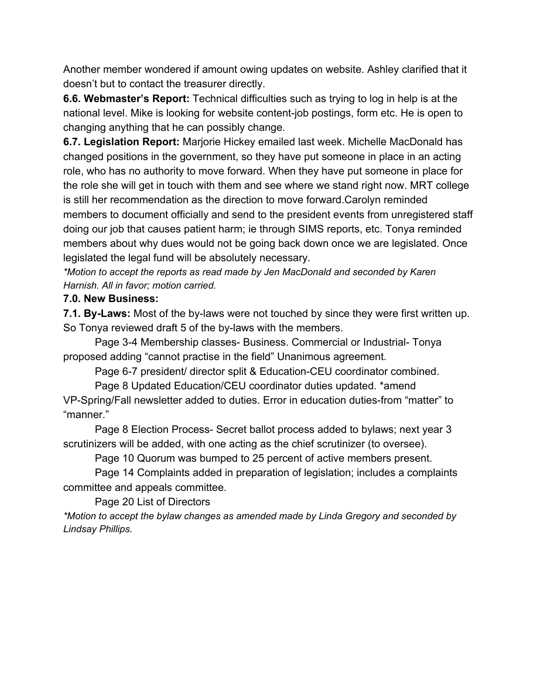Another member wondered if amount owing updates on website. Ashley clarified that it doesn't but to contact the treasurer directly.

**6.6. Webmaster's Report:** Technical difficulties such as trying to log in help is at the national level. Mike is looking for website content-job postings, form etc. He is open to changing anything that he can possibly change.

**6.7. Legislation Report:** Marjorie Hickey emailed last week. Michelle MacDonald has changed positions in the government, so they have put someone in place in an acting role, who has no authority to move forward. When they have put someone in place for the role she will get in touch with them and see where we stand right now. MRT college is still her recommendation as the direction to move forward.Carolyn reminded members to document officially and send to the president events from unregistered staff doing our job that causes patient harm; ie through SIMS reports, etc. Tonya reminded members about why dues would not be going back down once we are legislated. Once legislated the legal fund will be absolutely necessary.

*\*Motion to accept the reports as read made by Jen MacDonald and seconded by Karen Harnish. All in favor; motion carried.*

## **7.0. New Business:**

**7.1. By-Laws:** Most of the by-laws were not touched by since they were first written up. So Tonya reviewed draft 5 of the by-laws with the members.

Page 3-4 Membership classes- Business. Commercial or Industrial- Tonya proposed adding "cannot practise in the field" Unanimous agreement.

Page 6-7 president/ director split & Education-CEU coordinator combined.

Page 8 Updated Education/CEU coordinator duties updated. \*amend VP-Spring/Fall newsletter added to duties. Error in education duties-from "matter" to "manner."

Page 8 Election Process- Secret ballot process added to bylaws; next year 3 scrutinizers will be added, with one acting as the chief scrutinizer (to oversee).

Page 10 Quorum was bumped to 25 percent of active members present.

Page 14 Complaints added in preparation of legislation; includes a complaints committee and appeals committee.

Page 20 List of Directors

*\*Motion to accept the bylaw changes as amended made by Linda Gregory and seconded by Lindsay Phillips.*